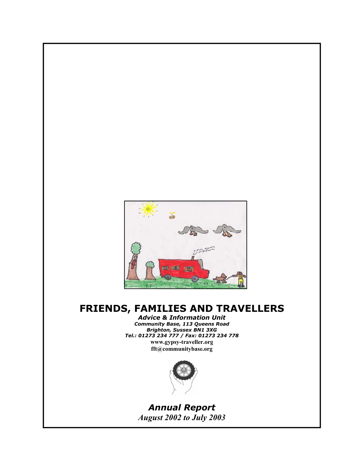

# **FRIENDS, FAMILIES AND TRAVELLERS**

*Advice & Information Unit Community Base, 113 Queens Road Brighton, Sussex BN1 3XG Tel.: 01273 234 777 / Fax: 01273 234 778* **www.gypsy-traveller.org** 

**fft@communitybase.org** 



*Annual Report August 2002 to July 2003*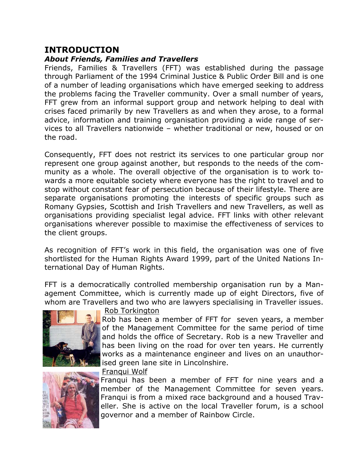## **INTRODUCTION**

### *About Friends, Families and Travellers*

Friends, Families & Travellers (FFT) was established during the passage through Parliament of the 1994 Criminal Justice & Public Order Bill and is one of a number of leading organisations which have emerged seeking to address the problems facing the Traveller community. Over a small number of years, FFT grew from an informal support group and network helping to deal with crises faced primarily by new Travellers as and when they arose, to a formal advice, information and training organisation providing a wide range of services to all Travellers nationwide – whether traditional or new, housed or on the road.

Consequently, FFT does not restrict its services to one particular group nor represent one group against another, but responds to the needs of the community as a whole. The overall objective of the organisation is to work towards a more equitable society where everyone has the right to travel and to stop without constant fear of persecution because of their lifestyle. There are separate organisations promoting the interests of specific groups such as Romany Gypsies, Scottish and Irish Travellers and new Travellers, as well as organisations providing specialist legal advice. FFT links with other relevant organisations wherever possible to maximise the effectiveness of services to the client groups.

As recognition of FFT's work in this field, the organisation was one of five shortlisted for the Human Rights Award 1999, part of the United Nations International Day of Human Rights.

FFT is a democratically controlled membership organisation run by a Management Committee, which is currently made up of eight Directors, five of whom are Travellers and two who are lawyers specialising in Traveller issues.





Rob Torkington

Rob has been a member of FFT for seven years, a member of the Management Committee for the same period of time and holds the office of Secretary. Rob is a new Traveller and has been living on the road for over ten years. He currently works as a maintenance engineer and lives on an unauthorised green lane site in Lincolnshire.

Franqui Wolf

Franqui has been a member of FFT for nine years and a member of the Management Committee for seven years. Franqui is from a mixed race background and a housed Traveller. She is active on the local Traveller forum, is a school governor and a member of Rainbow Circle.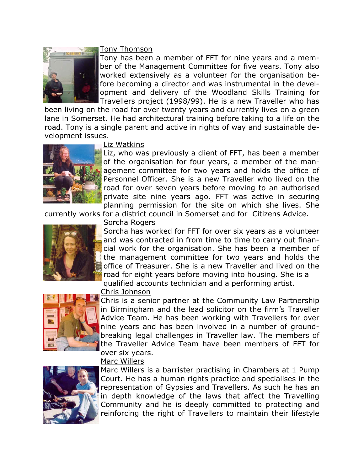

### Tony Thomson

Tony has been a member of FFT for nine years and a member of the Management Committee for five years. Tony also worked extensively as a volunteer for the organisation before becoming a director and was instrumental in the development and delivery of the Woodland Skills Training for Travellers project (1998/99). He is a new Traveller who has

been living on the road for over twenty years and currently lives on a green lane in Somerset. He had architectural training before taking to a life on the road. Tony is a single parent and active in rights of way and sustainable development issues.



### Liz Watkins

Liz, who was previously a client of FFT, has been a member of the organisation for four years, a member of the management committee for two years and holds the office of Personnel Officer. She is a new Traveller who lived on the road for over seven years before moving to an authorised private site nine years ago. FFT was active in securing planning permission for the site on which she lives. She

currently works for a district council in Somerset and for Citizens Advice.



Sorcha Rogers

Sorcha has worked for FFT for over six years as a volunteer and was contracted in from time to time to carry out financial work for the organisation. She has been a member of the management committee for two years and holds the office of Treasurer. She is a new Traveller and lived on the road for eight years before moving into housing. She is a

qualified accounts technician and a performing artist.



### Chris Johnson

Chris is a senior partner at the Community Law Partnership in Birmingham and the lead solicitor on the firm's Traveller Advice Team. He has been working with Travellers for over nine years and has been involved in a number of groundbreaking legal challenges in Traveller law. The members of the Traveller Advice Team have been members of FFT for over six years.





Marc Willers is a barrister practising in Chambers at 1 Pump Court. He has a human rights practice and specialises in the representation of Gypsies and Travellers. As such he has an in depth knowledge of the laws that affect the Travelling Community and he is deeply committed to protecting and reinforcing the right of Travellers to maintain their lifestyle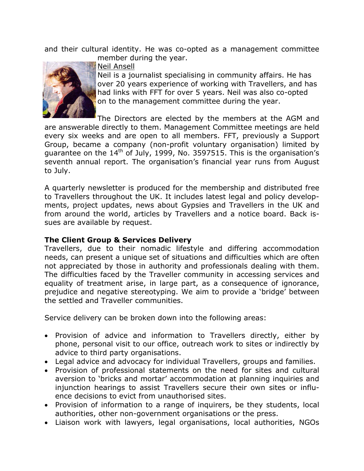and their cultural identity. He was co-opted as a management committee member during the year.



Neil Ansell

Neil is a journalist specialising in community affairs. He has over 20 years experience of working with Travellers, and has had links with FFT for over 5 years. Neil was also co-opted on to the management committee during the year.

The Directors are elected by the members at the AGM and are answerable directly to them. Management Committee meetings are held every six weeks and are open to all members. FFT, previously a Support Group, became a company (non-profit voluntary organisation) limited by guarantee on the  $14<sup>th</sup>$  of July, 1999, No. 3597515. This is the organisation's seventh annual report. The organisation's financial year runs from August to July.

A quarterly newsletter is produced for the membership and distributed free to Travellers throughout the UK. It includes latest legal and policy developments, project updates, news about Gypsies and Travellers in the UK and from around the world, articles by Travellers and a notice board. Back issues are available by request.

### **The Client Group & Services Delivery**

Travellers, due to their nomadic lifestyle and differing accommodation needs, can present a unique set of situations and difficulties which are often not appreciated by those in authority and professionals dealing with them. The difficulties faced by the Traveller community in accessing services and equality of treatment arise, in large part, as a consequence of ignorance, prejudice and negative stereotyping. We aim to provide a 'bridge' between the settled and Traveller communities.

Service delivery can be broken down into the following areas:

- Provision of advice and information to Travellers directly, either by phone, personal visit to our office, outreach work to sites or indirectly by advice to third party organisations.
- Legal advice and advocacy for individual Travellers, groups and families.
- Provision of professional statements on the need for sites and cultural aversion to 'bricks and mortar' accommodation at planning inquiries and injunction hearings to assist Travellers secure their own sites or influence decisions to evict from unauthorised sites.
- Provision of information to a range of inquirers, be they students, local authorities, other non-government organisations or the press.
- Liaison work with lawyers, legal organisations, local authorities, NGOs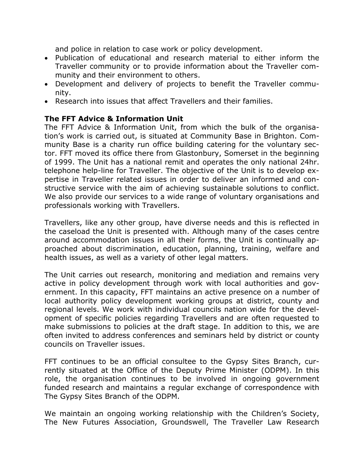and police in relation to case work or policy development.

- Publication of educational and research material to either inform the Traveller community or to provide information about the Traveller community and their environment to others.
- Development and delivery of projects to benefit the Traveller community.
- Research into issues that affect Travellers and their families.

### **The FFT Advice & Information Unit**

The FFT Advice & Information Unit, from which the bulk of the organisation's work is carried out, is situated at Community Base in Brighton. Community Base is a charity run office building catering for the voluntary sector. FFT moved its office there from Glastonbury, Somerset in the beginning of 1999. The Unit has a national remit and operates the only national 24hr. telephone help-line for Traveller. The objective of the Unit is to develop expertise in Traveller related issues in order to deliver an informed and constructive service with the aim of achieving sustainable solutions to conflict. We also provide our services to a wide range of voluntary organisations and professionals working with Travellers.

Travellers, like any other group, have diverse needs and this is reflected in the caseload the Unit is presented with. Although many of the cases centre around accommodation issues in all their forms, the Unit is continually approached about discrimination, education, planning, training, welfare and health issues, as well as a variety of other legal matters.

The Unit carries out research, monitoring and mediation and remains very active in policy development through work with local authorities and government. In this capacity, FFT maintains an active presence on a number of local authority policy development working groups at district, county and regional levels. We work with individual councils nation wide for the development of specific policies regarding Travellers and are often requested to make submissions to policies at the draft stage. In addition to this, we are often invited to address conferences and seminars held by district or county councils on Traveller issues.

FFT continues to be an official consultee to the Gypsy Sites Branch, currently situated at the Office of the Deputy Prime Minister (ODPM). In this role, the organisation continues to be involved in ongoing government funded research and maintains a regular exchange of correspondence with The Gypsy Sites Branch of the ODPM.

We maintain an ongoing working relationship with the Children's Society, The New Futures Association, Groundswell, The Traveller Law Research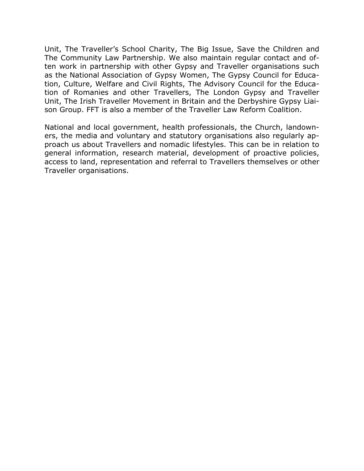Unit, The Traveller's School Charity, The Big Issue, Save the Children and The Community Law Partnership. We also maintain regular contact and often work in partnership with other Gypsy and Traveller organisations such as the National Association of Gypsy Women, The Gypsy Council for Education, Culture, Welfare and Civil Rights, The Advisory Council for the Education of Romanies and other Travellers, The London Gypsy and Traveller Unit, The Irish Traveller Movement in Britain and the Derbyshire Gypsy Liaison Group. FFT is also a member of the Traveller Law Reform Coalition.

National and local government, health professionals, the Church, landowners, the media and voluntary and statutory organisations also regularly approach us about Travellers and nomadic lifestyles. This can be in relation to general information, research material, development of proactive policies, access to land, representation and referral to Travellers themselves or other Traveller organisations.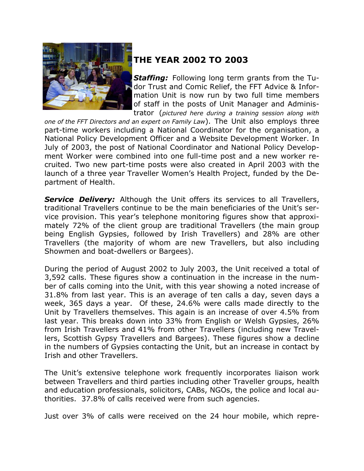

# **THE YEAR 2002 TO 2003**

*Staffing:* Following long term grants from the Tudor Trust and Comic Relief, the FFT Advice & Information Unit is now run by two full time members of staff in the posts of Unit Manager and Administrator (*pictured here during a training session along with* 

*one of the FFT Directors and an expert on Family Law*). The Unit also employs three part-time workers including a National Coordinator for the organisation, a National Policy Development Officer and a Website Development Worker. In July of 2003, the post of National Coordinator and National Policy Development Worker were combined into one full-time post and a new worker recruited. Two new part-time posts were also created in April 2003 with the launch of a three year Traveller Women's Health Project, funded by the Department of Health.

**Service Delivery:** Although the Unit offers its services to all Travellers, traditional Travellers continue to be the main beneficiaries of the Unit's service provision. This year's telephone monitoring figures show that approximately 72% of the client group are traditional Travellers (the main group being English Gypsies, followed by Irish Travellers) and 28% are other Travellers (the majority of whom are new Travellers, but also including Showmen and boat-dwellers or Bargees).

During the period of August 2002 to July 2003, the Unit received a total of 3,592 calls. These figures show a continuation in the increase in the number of calls coming into the Unit, with this year showing a noted increase of 31.8% from last year. This is an average of ten calls a day, seven days a week, 365 days a year. Of these, 24.6% were calls made directly to the Unit by Travellers themselves. This again is an increase of over 4.5% from last year. This breaks down into 33% from English or Welsh Gypsies, 26% from Irish Travellers and 41% from other Travellers (including new Travellers, Scottish Gypsy Travellers and Bargees). These figures show a decline in the numbers of Gypsies contacting the Unit, but an increase in contact by Irish and other Travellers.

The Unit's extensive telephone work frequently incorporates liaison work between Travellers and third parties including other Traveller groups, health and education professionals, solicitors, CABs, NGOs, the police and local authorities. 37.8% of calls received were from such agencies.

Just over 3% of calls were received on the 24 hour mobile, which repre-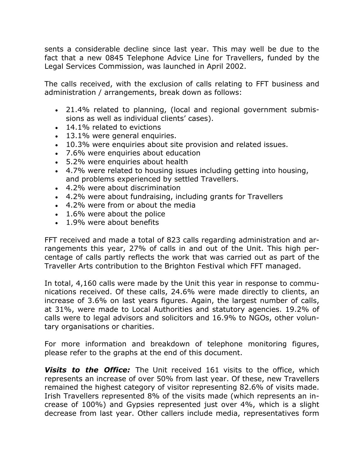sents a considerable decline since last year. This may well be due to the fact that a new 0845 Telephone Advice Line for Travellers, funded by the Legal Services Commission, was launched in April 2002.

The calls received, with the exclusion of calls relating to FFT business and administration / arrangements, break down as follows:

- 21.4% related to planning, (local and regional government submissions as well as individual clients' cases).
- 14.1% related to evictions
- 13.1% were general enquiries.
- 10.3% were enquiries about site provision and related issues.
- 7.6% were enquiries about education
- 5.2% were enquiries about health
- 4.7% were related to housing issues including getting into housing, and problems experienced by settled Travellers.
- 4.2% were about discrimination
- 4.2% were about fundraising, including grants for Travellers
- 4.2% were from or about the media
- 1.6% were about the police
- 1.9% were about benefits

FFT received and made a total of 823 calls regarding administration and arrangements this year, 27% of calls in and out of the Unit. This high percentage of calls partly reflects the work that was carried out as part of the Traveller Arts contribution to the Brighton Festival which FFT managed.

In total, 4,160 calls were made by the Unit this year in response to communications received. Of these calls, 24.6% were made directly to clients, an increase of 3.6% on last years figures. Again, the largest number of calls, at 31%, were made to Local Authorities and statutory agencies. 19.2% of calls were to legal advisors and solicitors and 16.9% to NGOs, other voluntary organisations or charities.

For more information and breakdown of telephone monitoring figures, please refer to the graphs at the end of this document.

**Visits to the Office:** The Unit received 161 visits to the office, which represents an increase of over 50% from last year. Of these, new Travellers remained the highest category of visitor representing 82.6% of visits made. Irish Travellers represented 8% of the visits made (which represents an increase of 100%) and Gypsies represented just over 4%, which is a slight decrease from last year. Other callers include media, representatives form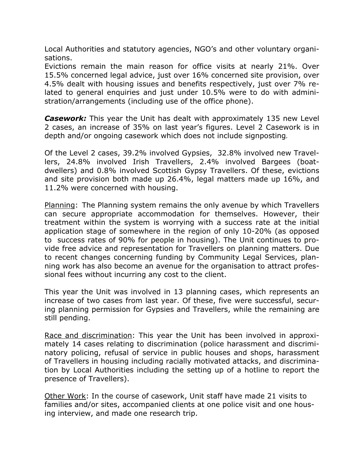Local Authorities and statutory agencies, NGO's and other voluntary organisations.

Evictions remain the main reason for office visits at nearly 21%. Over 15.5% concerned legal advice, just over 16% concerned site provision, over 4.5% dealt with housing issues and benefits respectively, just over 7% related to general enquiries and just under 10.5% were to do with administration/arrangements (including use of the office phone).

**Casework:** This year the Unit has dealt with approximately 135 new Level 2 cases, an increase of 35% on last year's figures. Level 2 Casework is in depth and/or ongoing casework which does not include signposting*.*

Of the Level 2 cases, 39.2% involved Gypsies, 32.8% involved new Travellers, 24.8% involved Irish Travellers, 2.4% involved Bargees (boatdwellers) and 0.8% involved Scottish Gypsy Travellers. Of these, evictions and site provision both made up 26.4%, legal matters made up 16%, and 11.2% were concerned with housing.

Planning: The Planning system remains the only avenue by which Travellers can secure appropriate accommodation for themselves. However, their treatment within the system is worrying with a success rate at the initial application stage of somewhere in the region of only 10-20% (as opposed to success rates of 90% for people in housing). The Unit continues to provide free advice and representation for Travellers on planning matters. Due to recent changes concerning funding by Community Legal Services, planning work has also become an avenue for the organisation to attract professional fees without incurring any cost to the client.

This year the Unit was involved in 13 planning cases, which represents an increase of two cases from last year. Of these, five were successful, securing planning permission for Gypsies and Travellers, while the remaining are still pending.

Race and discrimination: This year the Unit has been involved in approximately 14 cases relating to discrimination (police harassment and discriminatory policing, refusal of service in public houses and shops, harassment of Travellers in housing including racially motivated attacks, and discrimination by Local Authorities including the setting up of a hotline to report the presence of Travellers).

Other Work: In the course of casework, Unit staff have made 21 visits to families and/or sites, accompanied clients at one police visit and one housing interview, and made one research trip.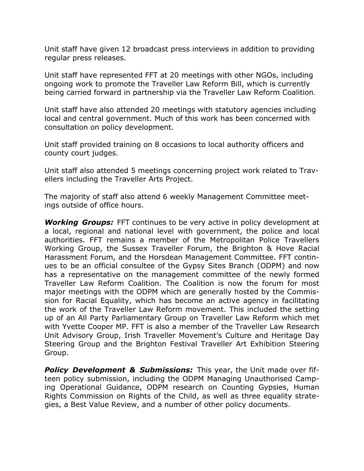Unit staff have given 12 broadcast press interviews in addition to providing regular press releases.

Unit staff have represented FFT at 20 meetings with other NGOs, including ongoing work to promote the Traveller Law Reform Bill, which is currently being carried forward in partnership via the Traveller Law Reform Coalition.

Unit staff have also attended 20 meetings with statutory agencies including local and central government. Much of this work has been concerned with consultation on policy development.

Unit staff provided training on 8 occasions to local authority officers and county court judges.

Unit staff also attended 5 meetings concerning project work related to Travellers including the Traveller Arts Project.

The majority of staff also attend 6 weekly Management Committee meetings outside of office hours.

*Working Groups:* FFT continues to be very active in policy development at a local, regional and national level with government, the police and local authorities. FFT remains a member of the Metropolitan Police Travellers Working Group, the Sussex Traveller Forum, the Brighton & Hove Racial Harassment Forum, and the Horsdean Management Committee. FFT continues to be an official consultee of the Gypsy Sites Branch (ODPM) and now has a representative on the management committee of the newly formed Traveller Law Reform Coalition. The Coalition is now the forum for most major meetings with the ODPM which are generally hosted by the Commission for Racial Equality, which has become an active agency in facilitating the work of the Traveller Law Reform movement. This included the setting up of an All Party Parliamentary Group on Traveller Law Reform which met with Yvette Cooper MP. FFT is also a member of the Traveller Law Research Unit Advisory Group, Irish Traveller Movement's Culture and Heritage Day Steering Group and the Brighton Festival Traveller Art Exhibition Steering Group.

**Policy Development & Submissions:** This year, the Unit made over fifteen policy submission, including the ODPM Managing Unauthorised Camping Operational Guidance, ODPM research on Counting Gypsies, Human Rights Commission on Rights of the Child, as well as three equality strategies, a Best Value Review, and a number of other policy documents.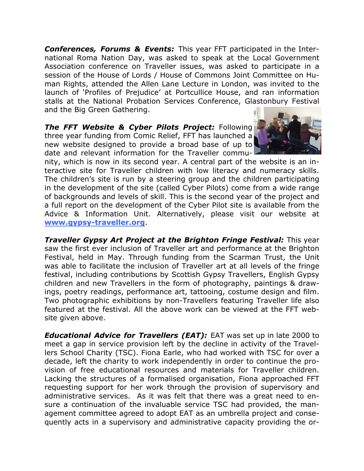*Conferences, Forums & Events:* This year FFT participated in the International Roma Nation Day, was asked to speak at the Local Government Association conference on Traveller issues, was asked to participate in a session of the House of Lords / House of Commons Joint Committee on Human Rights, attended the Allen Lane Lecture in London, was invited to the launch of 'Profiles of Prejudice' at Portcullice House, and ran information stalls at the National Probation Services Conference, Glastonbury Festival and the Big Green Gathering.

**The FFT Website & Cyber Pilots Project:** Following three year funding from Comic Relief, FFT has launched a new website designed to provide a broad base of up to date and relevant information for the Traveller commu-



nity, which is now in its second year. A central part of the website is an interactive site for Traveller children with low literacy and numeracy skills. The children's site is run by a steering group and the children participating in the development of the site (called Cyber Pilots) come from a wide range of backgrounds and levels of skill. This is the second year of the project and a full report on the development of the Cyber Pilot site is available from the Advice & Information Unit. Alternatively, please visit our website at **www.gypsy-traveller.org**.

*Traveller Gypsy Art Project at the Brighton Fringe Festival: This year* saw the first ever inclusion of Traveller art and performance at the Brighton Festival, held in May. Through funding from the Scarman Trust, the Unit was able to facilitate the inclusion of Traveller art at all levels of the fringe festival, including contributions by Scottish Gypsy Travellers, English Gypsy children and new Travellers in the form of photography, paintings & drawings, poetry readings, performance art, tattooing, costume design and film. Two photographic exhibitions by non-Travellers featuring Traveller life also featured at the festival. All the above work can be viewed at the FFT website given above.

*Educational Advice for Travellers (EAT):* EAT was set up in late 2000 to meet a gap in service provision left by the decline in activity of the Travellers School Charity (TSC). Fiona Earle, who had worked with TSC for over a decade, left the charity to work independently in order to continue the provision of free educational resources and materials for Traveller children. Lacking the structures of a formalised organisation, Fiona approached FFT requesting support for her work through the provision of supervisory and administrative services. As it was felt that there was a great need to ensure a continuation of the invaluable service TSC had provided, the management committee agreed to adopt EAT as an umbrella project and consequently acts in a supervisory and administrative capacity providing the or-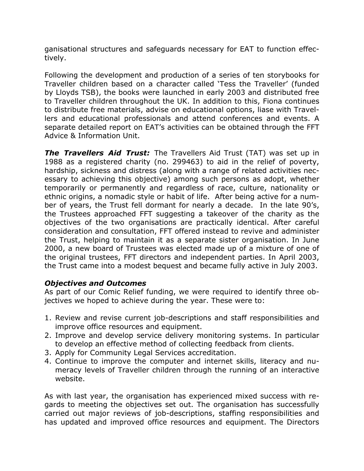ganisational structures and safeguards necessary for EAT to function effectively.

Following the development and production of a series of ten storybooks for Traveller children based on a character called 'Tess the Traveller' (funded by Lloyds TSB), the books were launched in early 2003 and distributed free to Traveller children throughout the UK. In addition to this, Fiona continues to distribute free materials, advise on educational options, liase with Travellers and educational professionals and attend conferences and events. A separate detailed report on EAT's activities can be obtained through the FFT Advice & Information Unit.

*The Travellers Aid Trust:* The Travellers Aid Trust (TAT) was set up in 1988 as a registered charity (no. 299463) to aid in the relief of poverty, hardship, sickness and distress (along with a range of related activities necessary to achieving this objective) among such persons as adopt, whether temporarily or permanently and regardless of race, culture, nationality or ethnic origins, a nomadic style or habit of life. After being active for a number of years, the Trust fell dormant for nearly a decade. In the late 90's, the Trustees approached FFT suggesting a takeover of the charity as the objectives of the two organisations are practically identical. After careful consideration and consultation, FFT offered instead to revive and administer the Trust, helping to maintain it as a separate sister organisation. In June 2000, a new board of Trustees was elected made up of a mixture of one of the original trustees, FFT directors and independent parties. In April 2003, the Trust came into a modest bequest and became fully active in July 2003.

### *Objectives and Outcomes*

As part of our Comic Relief funding, we were required to identify three objectives we hoped to achieve during the year. These were to:

- 1. Review and revise current job-descriptions and staff responsibilities and improve office resources and equipment.
- 2. Improve and develop service delivery monitoring systems. In particular to develop an effective method of collecting feedback from clients.
- 3. Apply for Community Legal Services accreditation.
- 4. Continue to improve the computer and internet skills, literacy and numeracy levels of Traveller children through the running of an interactive website.

As with last year, the organisation has experienced mixed success with regards to meeting the objectives set out. The organisation has successfully carried out major reviews of job-descriptions, staffing responsibilities and has updated and improved office resources and equipment. The Directors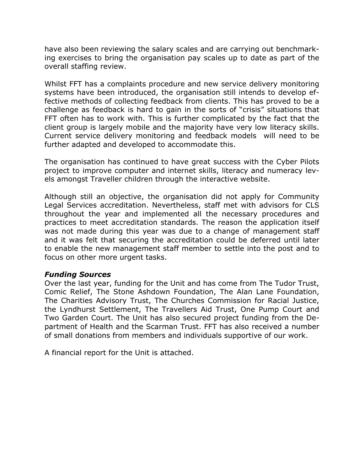have also been reviewing the salary scales and are carrying out benchmarking exercises to bring the organisation pay scales up to date as part of the overall staffing review.

Whilst FFT has a complaints procedure and new service delivery monitoring systems have been introduced, the organisation still intends to develop effective methods of collecting feedback from clients. This has proved to be a challenge as feedback is hard to gain in the sorts of "crisis" situations that FFT often has to work with. This is further complicated by the fact that the client group is largely mobile and the majority have very low literacy skills. Current service delivery monitoring and feedback models will need to be further adapted and developed to accommodate this.

The organisation has continued to have great success with the Cyber Pilots project to improve computer and internet skills, literacy and numeracy levels amongst Traveller children through the interactive website.

Although still an objective, the organisation did not apply for Community Legal Services accreditation. Nevertheless, staff met with advisors for CLS throughout the year and implemented all the necessary procedures and practices to meet accreditation standards. The reason the application itself was not made during this year was due to a change of management staff and it was felt that securing the accreditation could be deferred until later to enable the new management staff member to settle into the post and to focus on other more urgent tasks.

### *Funding Sources*

Over the last year, funding for the Unit and has come from The Tudor Trust, Comic Relief, The Stone Ashdown Foundation, The Alan Lane Foundation, The Charities Advisory Trust, The Churches Commission for Racial Justice, the Lyndhurst Settlement, The Travellers Aid Trust, One Pump Court and Two Garden Court. The Unit has also secured project funding from the Department of Health and the Scarman Trust. FFT has also received a number of small donations from members and individuals supportive of our work.

A financial report for the Unit is attached.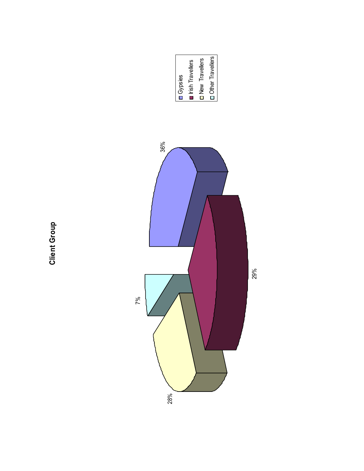



**Client Group Client Group**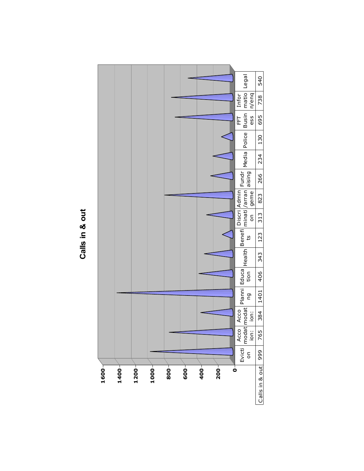

Calls in & out **Calls in & out**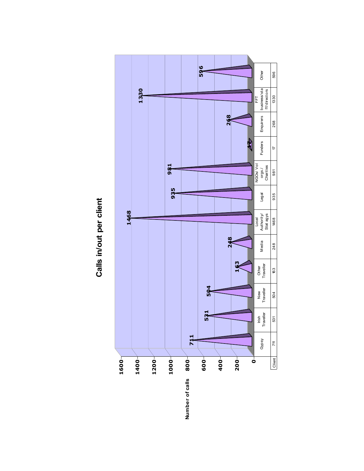

Calls in/out per client **Calls in/out per client**